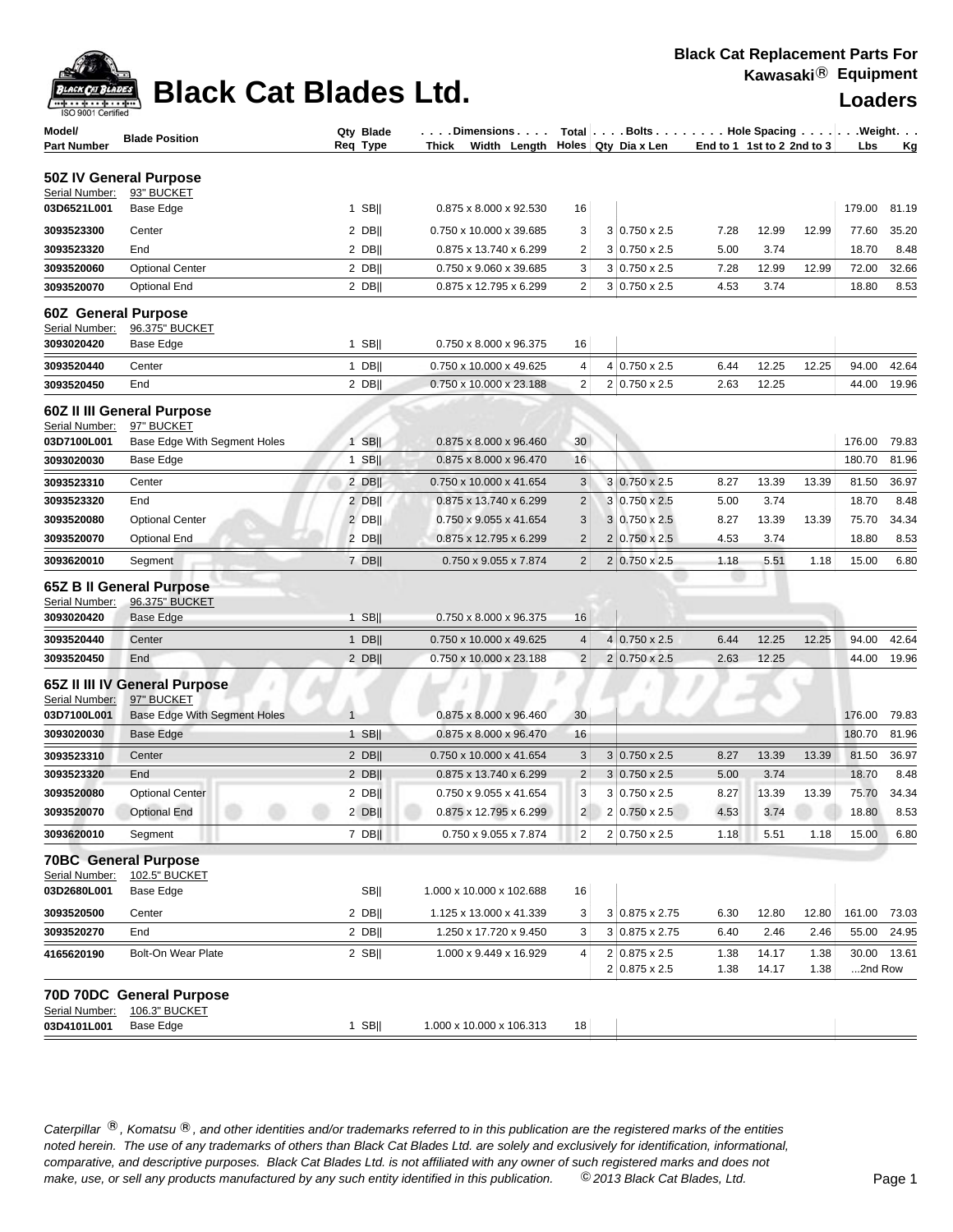

## **Black Cat Blades Ltd. Loaders Ltd. Loaders**

| ISO 9001 Certified                           |                                                         |                       |                                     |                |                                                                 |                            |       |       | Luau <del>c</del> ı ə |           |
|----------------------------------------------|---------------------------------------------------------|-----------------------|-------------------------------------|----------------|-----------------------------------------------------------------|----------------------------|-------|-------|-----------------------|-----------|
| Model/<br><b>Part Number</b>                 | <b>Blade Position</b>                                   | Qty Blade<br>Req Type | Dimensions<br>Thick<br>Width Length |                | Total   Bolts   Hole Spacing   Weight.<br>Holes   Qty Dia x Len | End to 1 1st to 2 2nd to 3 |       |       | Lbs                   | <u>Kg</u> |
|                                              | 50Z IV General Purpose                                  |                       |                                     |                |                                                                 |                            |       |       |                       |           |
| Serial Number:                               | 93" BUCKET                                              |                       |                                     |                |                                                                 |                            |       |       |                       |           |
| 03D6521L001                                  | Base Edge                                               | $1$ SB                | 0.875 x 8.000 x 92.530              | 16             |                                                                 |                            |       |       | 179.00                | 81.19     |
| 3093523300                                   | Center                                                  | $2$ DB                | 0.750 x 10.000 x 39.685             | 3              | $3 0.750 \times 2.5$                                            | 7.28                       | 12.99 | 12.99 | 77.60                 | 35.20     |
| 3093523320                                   | End                                                     | $2$ DB                | 0.875 x 13.740 x 6.299              | 2              | $3 0.750 \times 2.5$                                            | 5.00                       | 3.74  |       | 18.70                 | 8.48      |
| 3093520060                                   | <b>Optional Center</b>                                  | $2$ DB                | 0.750 x 9.060 x 39.685              | 3              | $3 0.750 \times 2.5$                                            | 7.28                       | 12.99 | 12.99 | 72.00                 | 32.66     |
| 3093520070                                   | <b>Optional End</b>                                     | $2$ DB                | 0.875 x 12.795 x 6.299              | 2              | $3 0.750 \times 2.5$                                            | 4.53                       | 3.74  |       | 18.80                 | 8.53      |
| <b>60Z</b> General Purpose<br>Serial Number: | 96.375" BUCKET                                          |                       |                                     |                |                                                                 |                            |       |       |                       |           |
| 3093020420                                   | Base Edge                                               | $1$ SB                | 0.750 x 8.000 x 96.375              | 16             |                                                                 |                            |       |       |                       |           |
| 3093520440                                   | Center                                                  | $1$ DB                | 0.750 x 10.000 x 49.625             | 4              | $4 0.750 \times 2.5$                                            | 6.44                       | 12.25 | 12.25 | 94.00                 | 42.64     |
| 3093520450                                   | End                                                     | $2$ DB                | 0.750 x 10.000 x 23.188             | 2              | $2 0.750 \times 2.5$                                            | 2.63                       | 12.25 |       | 44.00                 | 19.96     |
|                                              |                                                         |                       |                                     |                |                                                                 |                            |       |       |                       |           |
|                                              | 60Z II III General Purpose                              |                       |                                     |                |                                                                 |                            |       |       |                       |           |
| Serial Number:<br>03D7100L001                | 97" BUCKET<br>Base Edge With Segment Holes              | $1$ SB                | 0.875 x 8.000 x 96.460              | 30             |                                                                 |                            |       |       | 176.00                | 79.83     |
| 3093020030                                   | Base Edge                                               | $1$ SB                | 0.875 x 8.000 x 96.470              | 16             |                                                                 |                            |       |       | 180.70                | 81.96     |
| 3093523310                                   | Center                                                  | $2$ DB                | 0.750 x 10.000 x 41.654             | 3              | 3 0.750 x 2.5                                                   | 8.27                       | 13.39 | 13.39 | 81.50                 | 36.97     |
| 3093523320                                   | End                                                     | $2$ DB                | 0.875 x 13.740 x 6.299              | $\overline{c}$ | $3 0.750 \times 2.5$                                            | 5.00                       | 3.74  |       | 18.70                 | 8.48      |
| 3093520080                                   | <b>Optional Center</b>                                  | $2$ DB                | 0.750 x 9.055 x 41.654              | 3              | $3 0.750 \times 2.5$                                            | 8.27                       | 13.39 | 13.39 | 75.70                 | 34.34     |
| 3093520070                                   | <b>Optional End</b>                                     | $2$ DB                | 0.875 x 12.795 x 6.299              | $\overline{c}$ | $2 0.750 \times 2.5$                                            | 4.53                       | 3.74  |       | 18.80                 | 8.53      |
| 3093620010                                   | Segment                                                 | $7$ DB                | 0.750 x 9.055 x 7.874               | $\overline{c}$ | 2 0.750 x 2.5                                                   | 1.18                       | 5.51  | 1.18  | 15.00                 | 6.80      |
| Serial Number:<br>3093020420                 | 65Z B II General Purpose<br>96.375" BUCKET<br>Base Edge | $1$ SB                | 0.750 x 8.000 x 96.375              | 16             |                                                                 |                            |       |       |                       |           |
| 3093520440                                   | Center                                                  | $1$ DB                | 0.750 x 10.000 x 49.625             | $\overline{4}$ | $4 0.750 \times 2.5$                                            | 6.44                       | 12.25 | 12.25 | 94.00                 | 42.64     |
| 3093520450                                   | End                                                     | $2$ DB                | 0.750 x 10.000 x 23.188             | $\overline{2}$ | $2 0.750 \times 2.5$                                            | 2.63                       | 12.25 |       | 44.00                 | 19.96     |
| Serial Number:                               | 65Z II III IV General Purpose<br>97" BUCKET             |                       |                                     |                |                                                                 |                            |       |       |                       |           |
| 03D7100L001                                  | <b>Base Edge With Segment Holes</b>                     | $\mathbf{1}$          | 0.875 x 8.000 x 96.460              | 30             |                                                                 |                            |       |       | 176.00                | 79.83     |
| 3093020030                                   | Base Edge                                               | $1$ SB                | 0.875 x 8.000 x 96.470              | 16             |                                                                 |                            |       |       | 180.70                | 81.96     |
| 3093523310                                   | Center                                                  | $2$ DB                | 0.750 x 10.000 x 41.654             | 3              | $3 0.750 \times 2.5$                                            | 8.27                       | 13.39 | 13.39 | 81.50                 | 36.97     |
| 3093523320                                   | End                                                     | $2$ DB                | 0.875 x 13.740 x 6.299              | $\overline{2}$ | $3 0.750 \times 2.5$                                            | 5.00                       | 3.74  |       | 18.70                 | 8.48      |
| 3093520080                                   | <b>Optional Center</b>                                  | 2 DBII                | 0.750 x 9.055 x 41.654              | 3              | $3 0.750 \times 2.5$                                            | 8.27                       | 13.39 | 13.39 | 75.70                 | 34.34     |
| 3093520070                                   | <b>Optional End</b>                                     | $2$ DB                | 0.875 x 12.795 x 6.299              | 2              | 2 0.750 x 2.5                                                   | 4.53                       | 3.74  |       | 18.80                 | 8.53      |
| 3093620010                                   | Segment                                                 | $7$ DB                | 0.750 x 9.055 x 7.874               | $\overline{2}$ | 2 0.750 x 2.5                                                   | 1.18                       | 5.51  | 1.18  | 15.00                 | 6.80      |
| Serial Number:                               | <b>70BC General Purpose</b><br>102.5" BUCKET            |                       |                                     |                |                                                                 |                            |       |       |                       |           |
| 03D2680L001                                  | Base Edge                                               | <b>SBII</b>           | 1.000 x 10.000 x 102.688            | 16             |                                                                 |                            |       |       |                       |           |
| 3093520500                                   | Center                                                  | $2$ DB                | 1.125 x 13.000 x 41.339             | 3              | $3 0.875 \times 2.75$                                           | 6.30                       | 12.80 | 12.80 | 161.00                | 73.03     |
| 3093520270                                   | End                                                     | $2$ DB                | 1.250 x 17.720 x 9.450              | 3              | 3 0.875 x 2.75                                                  | 6.40                       | 2.46  | 2.46  | 55.00                 | 24.95     |
| 4165620190                                   | <b>Bolt-On Wear Plate</b>                               | 2 SB                  | 1.000 x 9.449 x 16.929              | 4              | $2 0.875 \times 2.5$                                            | 1.38                       | 14.17 | 1.38  | 30.00                 | 13.61     |
|                                              |                                                         |                       |                                     |                | 2 0.875 x 2.5                                                   | 1.38                       | 14.17 | 1.38  | 2nd Row               |           |
| Serial Number:                               | 70D 70DC General Purpose<br>106.3" BUCKET               |                       |                                     |                |                                                                 |                            |       |       |                       |           |
| 03D4101L001                                  | Base Edge                                               | $1$ SB                | 1.000 x 10.000 x 106.313            | 18             |                                                                 |                            |       |       |                       |           |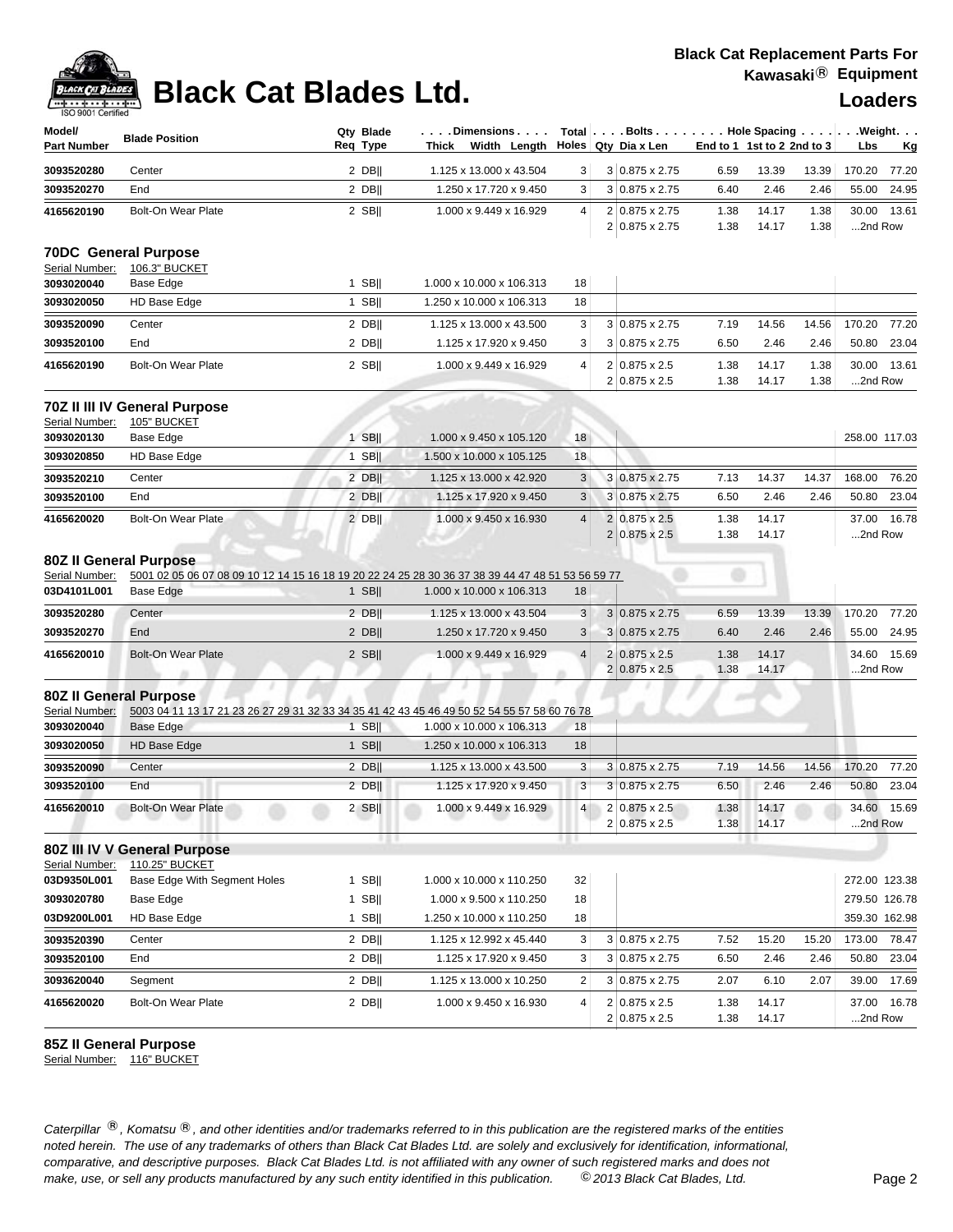# **Black Cat Blades Ltd. Loaders Loaders**

| Model/<br><b>Part Number</b>                                   | <b>Blade Position</b>                                                                                           | Qty Blade<br>Req Type | .Dimensions<br>Thick Width Length |                         | Total   Bolts   Hole Spacing   Weight.<br>Holes Qty Dia x Len | End to 1 1st to 2 2nd to 3 |                |              | Lbs                    | Кg    |
|----------------------------------------------------------------|-----------------------------------------------------------------------------------------------------------------|-----------------------|-----------------------------------|-------------------------|---------------------------------------------------------------|----------------------------|----------------|--------------|------------------------|-------|
| 3093520280                                                     | Center                                                                                                          | $2$ DB                | 1.125 x 13.000 x 43.504           | 3                       | 3 0.875 x 2.75                                                | 6.59                       | 13.39          | 13.39        | 170.20                 | 77.20 |
| 3093520270                                                     | End                                                                                                             | 2 DB                  | 1.250 x 17.720 x 9.450            | 3                       | $3 0.875 \times 2.75$                                         | 6.40                       | 2.46           | 2.46         | 55.00                  | 24.95 |
| 4165620190                                                     | <b>Bolt-On Wear Plate</b>                                                                                       | $2$ SB                | 1.000 x 9.449 x 16.929            | 4                       | 2 0.875 x 2.75<br>2 0.875 x 2.75                              | 1.38<br>1.38               | 14.17<br>14.17 | 1.38<br>1.38 | 30.00<br>2nd Row       | 13.61 |
| Serial Number:                                                 | <b>70DC</b> General Purpose<br>106.3" BUCKET                                                                    |                       |                                   |                         |                                                               |                            |                |              |                        |       |
| 3093020040                                                     | Base Edge                                                                                                       | $1$ SB                | 1.000 x 10.000 x 106.313          | 18                      |                                                               |                            |                |              |                        |       |
| 3093020050                                                     | HD Base Edge                                                                                                    | $1$ SB                | 1.250 x 10.000 x 106.313          | 18                      |                                                               |                            |                |              |                        |       |
| 3093520090                                                     | Center                                                                                                          | $2$ DB                | 1.125 x 13.000 x 43.500           | 3                       | 3 0.875 x 2.75                                                | 7.19                       | 14.56          | 14.56        | 170.20                 | 77.20 |
| 3093520100                                                     | End                                                                                                             | 2 DB                  | 1.125 x 17.920 x 9.450            | 3                       | 3 0.875 x 2.75                                                | 6.50                       | 2.46           | 2.46         | 50.80                  | 23.04 |
| 4165620190                                                     | Bolt-On Wear Plate                                                                                              | $2$ SB                | 1.000 x 9.449 x 16.929            | $\overline{4}$          | 2 0.875 x 2.5<br>2 0.875 x 2.5                                | 1.38<br>1.38               | 14.17<br>14.17 | 1.38<br>1.38 | 30.00<br>2nd Row       | 13.61 |
| Serial Number:                                                 | 70Z II III IV General Purpose<br>105" BUCKET                                                                    |                       |                                   |                         |                                                               |                            |                |              |                        |       |
| 3093020130                                                     | Base Edge                                                                                                       | $1$ SB                | 1.000 x 9.450 x 105.120           | 18                      |                                                               |                            |                |              | 258.00 117.03          |       |
| 3093020850                                                     | HD Base Edge                                                                                                    | $1$ SB                | 1.500 x 10.000 x 105.125          | 18                      |                                                               |                            |                |              |                        |       |
| 3093520210                                                     | Center                                                                                                          | $2$ DB                | 1.125 x 13.000 x 42.920           | $\sqrt{3}$              | 3 0.875 x 2.75                                                | 7.13                       | 14.37          | 14.37        | 168.00                 | 76.20 |
| 3093520100                                                     | End                                                                                                             | $2$ DB                | 1.125 x 17.920 x 9.450            | 3                       | 3 0.875 x 2.75                                                | 6.50                       | 2.46           | 2.46         | 50.80                  | 23.04 |
| 4165620020                                                     | <b>Bolt-On Wear Plate</b>                                                                                       | $2$ DB                | 1.000 x 9.450 x 16.930            | $\overline{4}$          | 2 0.875 x 2.5<br>$2 0.875 \times 2.5$                         | 1.38<br>1.38               | 14.17<br>14.17 |              | 37.00 16.78<br>2nd Row |       |
| <b>80Z II General Purpose</b><br>Serial Number:<br>03D4101L001 | 5001 02 05 06 07 08 09 10 12 14 15 16 18 19 20 22 24 25 28 30 36 37 38 39 44 47 48 51 53 56 59 77<br>Base Edge  | $1$ SB                | 1.000 x 10.000 x 106.313          | 18                      |                                                               |                            |                |              |                        |       |
| 3093520280                                                     | Center                                                                                                          | $2$ DB                | 1.125 x 13.000 x 43.504           | 3                       | $3 0.875 \times 2.75$                                         | 6.59                       | 13.39          | 13.39        | 170.20                 | 77.20 |
| 3093520270                                                     | End                                                                                                             | $2$ DB                | 1.250 x 17.720 x 9.450            | $\sqrt{3}$              | $3 0.875 \times 2.75$                                         | 6.40                       | 2.46           | 2.46         | 55.00                  | 24.95 |
| 4165620010                                                     | <b>Bolt-On Wear Plate</b>                                                                                       | $2$ SB                | 1.000 x 9.449 x 16.929            | $\overline{4}$          | 2 0.875 x 2.5<br>2 0.875 x 2.5                                | 1.38<br>1.38               | 14.17<br>14.17 |              | 34.60<br>2nd Row       | 15.69 |
| <b>80Z II General Purpose</b><br>Serial Number:<br>3093020040  | 5003 04 11 13 17 21 23 26 27 29 31 32 33 34 35 41 42 43 45 46 49 50 52 54 55 57 58 60 76 78<br><b>Base Edge</b> | $1$ SB                | 1.000 x 10.000 x 106.313          | 18                      |                                                               |                            |                |              |                        |       |
| 3093020050                                                     | HD Base Edge                                                                                                    | $1$ SB                | 1.250 x 10.000 x 106.313          | 18                      |                                                               |                            |                |              |                        |       |
| 3093520090                                                     | Center                                                                                                          | $2$ DB                | 1.125 x 13.000 x 43.500           | 3                       | 3 0.875 x 2.75                                                | 7.19                       | 14.56          | 14.56        | 170.20                 | 77.20 |
| 3093520100                                                     | End                                                                                                             | $2$ DB                | 1.125 x 17.920 x 9.450            | 3                       | $3 0.875 \times 2.75$                                         | 6.50                       | 2.46           | 2.46         | 50.80                  | 23.04 |
| 4165620010                                                     | <b>Bolt-On Wear Plate</b>                                                                                       | 2 SBII                | 1.000 x 9.449 x 16.929            | 4 <sup>1</sup>          | 2 0.875 x 2.5<br>2 0.875 x 2.5                                | 1.38<br>1.38               | 14.17<br>14.17 |              | 34.60 15.69<br>2nd Row |       |
| Serial Number:                                                 | 80Z III IV V General Purpose<br>110.25" BUCKET                                                                  |                       |                                   |                         |                                                               |                            |                |              |                        |       |
| 03D9350L001                                                    | Base Edge With Segment Holes                                                                                    | $1$ SB                | 1.000 x 10.000 x 110.250          | 32                      |                                                               |                            |                |              | 272.00 123.38          |       |
| 3093020780                                                     | Base Edge                                                                                                       | $1$ SB                | 1.000 x 9.500 x 110.250           | 18                      |                                                               |                            |                |              | 279.50 126.78          |       |
| 03D9200L001                                                    | HD Base Edge                                                                                                    | 1 SBII                | 1.250 x 10.000 x 110.250          | 18                      |                                                               |                            |                |              | 359.30 162.98          |       |
| 3093520390                                                     | Center                                                                                                          | $2$ DB                | 1.125 x 12.992 x 45.440           | 3                       | 3 0.875 x 2.75                                                | 7.52                       | 15.20          | 15.20        | 173.00                 | 78.47 |
| 3093520100                                                     | End                                                                                                             | $2$ DB                | 1.125 x 17.920 x 9.450            | 3                       | 3 0.875 x 2.75                                                | 6.50                       | 2.46           | 2.46         | 50.80                  | 23.04 |
| 3093620040                                                     | Segment                                                                                                         | $2$ DB                | 1.125 x 13.000 x 10.250           | $\overline{\mathbf{c}}$ | 3 0.875 x 2.75                                                | 2.07                       | 6.10           | 2.07         | 39.00                  | 17.69 |
| 4165620020                                                     | Bolt-On Wear Plate                                                                                              | $2$ DB                | 1.000 x 9.450 x 16.930            | 4                       | 2 0.875 x 2.5<br>2 0.875 x 2.5                                | 1.38<br>1.38               | 14.17<br>14.17 |              | 37.00<br>2nd Row       | 16.78 |

### **85Z II General Purpose**

Serial Number: 116" BUCKET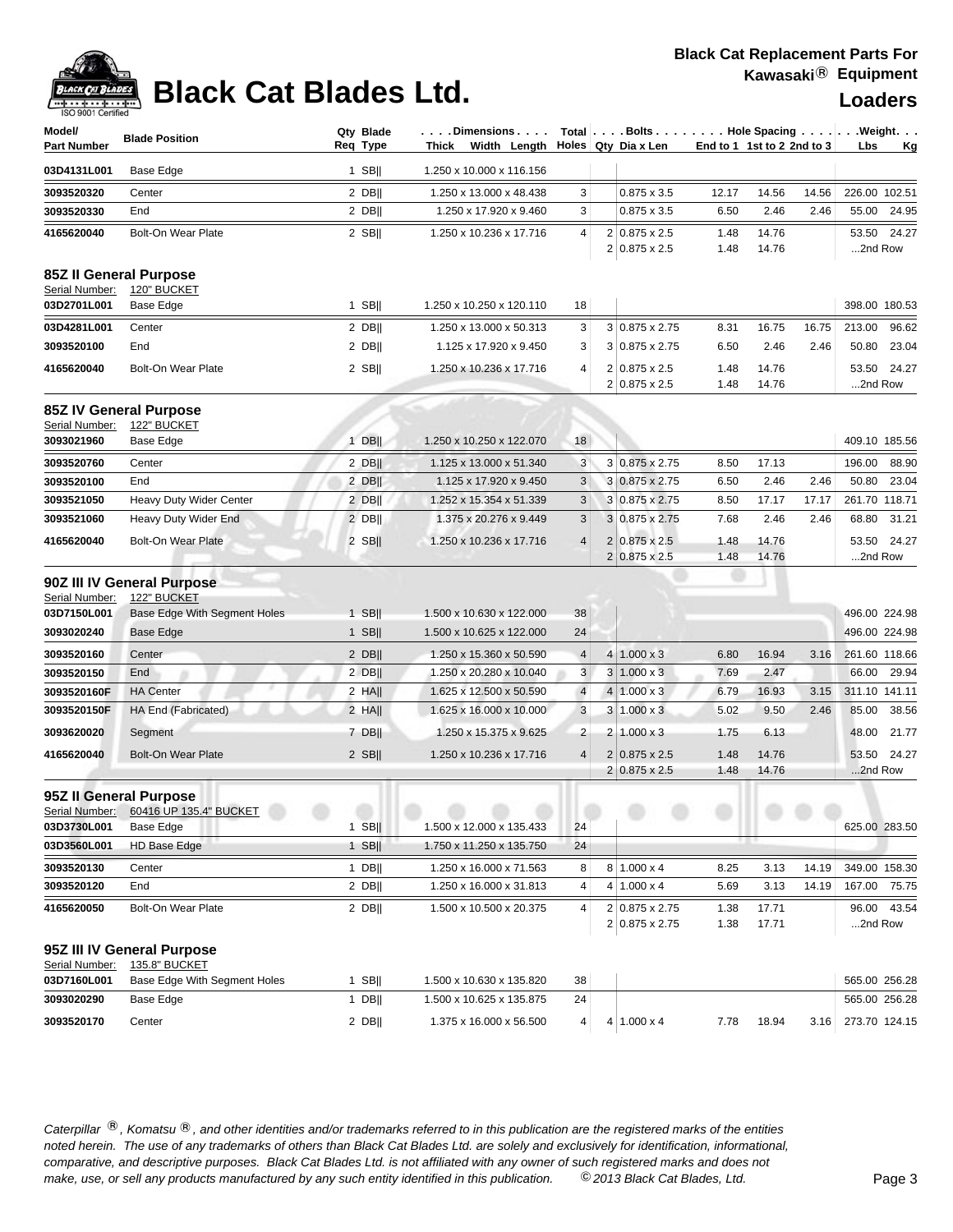## **Black Cat Replacement Parts For Kawasaki**® **Equipment**



# **Black Cat Blades Ltd. Loaders Loaders**

| Model/<br><b>Part Number</b>  | <b>Blade Position</b>                                                     | Qty Blade<br>Reg Type | . Dimensions<br>Thick<br>Width Length |                |   | Total Bolts Hole Spacing Weight.<br>Holes Qty Dia x Len | End to 1 1st to 2 2nd to 3 |                |       | Lbs              | <u>Kg</u>   |
|-------------------------------|---------------------------------------------------------------------------|-----------------------|---------------------------------------|----------------|---|---------------------------------------------------------|----------------------------|----------------|-------|------------------|-------------|
| 03D4131L001                   | Base Edge                                                                 | 1 SB $  $             | 1.250 x 10.000 x 116.156              |                |   |                                                         |                            |                |       |                  |             |
| 3093520320                    | Center                                                                    | $2$ DB                | 1.250 x 13.000 x 48.438               | 3              |   | $0.875 \times 3.5$                                      | 12.17                      | 14.56          | 14.56 | 226.00 102.51    |             |
| 3093520330                    | End                                                                       | $2$ DB                | 1.250 x 17.920 x 9.460                | 3              |   | $0.875 \times 3.5$                                      | 6.50                       | 2.46           | 2.46  |                  | 55.00 24.95 |
| 4165620040                    | <b>Bolt-On Wear Plate</b>                                                 | $2$ SB                | 1.250 x 10.236 x 17.716               | 4              |   | 2 0.875 x 2.5<br>$2 0.875 \times 2.5$                   | 1.48<br>1.48               | 14.76<br>14.76 |       | 2nd Row          | 53.50 24.27 |
| Serial Number:                | 85Z II General Purpose<br>120" BUCKET                                     |                       |                                       |                |   |                                                         |                            |                |       |                  |             |
| 03D2701L001                   | Base Edge                                                                 | 1 SB $  $             | 1.250 x 10.250 x 120.110              | 18             |   |                                                         |                            |                |       | 398.00 180.53    |             |
| 03D4281L001                   | Center                                                                    | 2 DB                  | 1.250 x 13.000 x 50.313               | 3              |   | 3 0.875 x 2.75                                          | 8.31                       | 16.75          | 16.75 | 213.00           | 96.62       |
| 3093520100                    | End                                                                       | 2 DB                  | 1.125 x 17.920 x 9.450                | 3              |   | 3 0.875 x 2.75                                          | 6.50                       | 2.46           | 2.46  | 50.80            | 23.04       |
| 4165620040                    | Bolt-On Wear Plate                                                        | $2$ SB                | 1.250 x 10.236 x 17.716               | $\overline{4}$ |   | 2 0.875 x 2.5<br>$2 0.875 \times 2.5$                   | 1.48<br>1.48               | 14.76<br>14.76 |       | 53.50<br>2nd Row | 24.27       |
| Serial Number:                | <b>85Z IV General Purpose</b><br>122" BUCKET                              |                       |                                       |                |   |                                                         |                            |                |       |                  |             |
| 3093021960                    | Base Edge                                                                 | $1$ DB                | 1.250 x 10.250 x 122.070              | 18             |   |                                                         |                            |                |       | 409.10 185.56    |             |
| 3093520760                    | Center                                                                    | $2$ DB                | 1.125 x 13.000 x 51.340               | 3              |   | 3 0.875 x 2.75                                          | 8.50                       | 17.13          |       | 196.00           | 88.90       |
| 3093520100                    | End                                                                       | $2$ DB                | 1.125 x 17.920 x 9.450                | 3              |   | 3 0.875 x 2.75                                          | 6.50                       | 2.46           | 2.46  | 50.80            | 23.04       |
| 3093521050                    | Heavy Duty Wider Center                                                   | $2$ DB                | 1.252 x 15.354 x 51.339               | $\mathbf{3}$   |   | 3 0.875 x 2.75                                          | 8.50                       | 17.17          | 17.17 | 261.70 118.71    |             |
| 3093521060                    | Heavy Duty Wider End                                                      | $2$ DB                | 1.375 x 20.276 x 9.449                | 3              |   | 3 0.875 x 2.75                                          | 7.68                       | 2.46           | 2.46  | 68.80            | 31.21       |
| 4165620040                    | <b>Bolt-On Wear Plate</b>                                                 | $2$ SB                | 1.250 x 10.236 x 17.716               | $\overline{4}$ |   | $2 0.875 \times 2.5 $<br>2 0.875 x 2.5                  | 1.48<br>1.48               | 14.76<br>14.76 |       | 2nd Row          | 53.50 24.27 |
| Serial Number:<br>03D7150L001 | 90Z III IV General Purpose<br>122" BUCKET<br>Base Edge With Segment Holes | $1$ SB                | 1.500 x 10.630 x 122.000              | 38             |   |                                                         |                            |                |       | 496.00 224.98    |             |
| 3093020240                    | Base Edge                                                                 | $1$ SB                | 1.500 x 10.625 x 122.000              | 24             |   |                                                         |                            |                |       | 496.00 224.98    |             |
| 3093520160                    | Center                                                                    | 2 DB                  | 1.250 x 15.360 x 50.590               | $\overline{4}$ |   | $4 1.000 \times 3$                                      | 6.80                       | 16.94          | 3.16  | 261.60 118.66    |             |
| 3093520150                    | End                                                                       | $2$ DB                | 1.250 x 20.280 x 10.040               | 3              |   | $3 1.000 \times 3$                                      | 7.69                       | 2.47           |       | 66.00            | 29.94       |
| 3093520160F                   | <b>HA</b> Center                                                          | $2$ HA                | 1.625 x 12.500 x 50.590               | $\overline{4}$ |   | $4 1.000 \times 3$                                      | 6.79                       | 16.93          | 3.15  | 311.10 141.11    |             |
| 3093520150F                   | HA End (Fabricated)                                                       | $2$ HA                | 1.625 x 16.000 x 10.000               | 3              |   | $3 1.000 \times 3$                                      | 5.02                       | 9.50           | 2.46  | 85.00            | 38.56       |
| 3093620020                    | Segment                                                                   | 7 DB                  | 1.250 x 15.375 x 9.625                | $\overline{2}$ | 2 | $1.000 \times 3$                                        | 1.75                       | 6.13           |       | 48.00            | 21.77       |
| 4165620040                    | <b>Bolt-On Wear Plate</b>                                                 | $2$ SB                | 1.250 x 10.236 x 17.716               | $\overline{4}$ |   | $2 0.875 \times 2.5$<br>$2 0.875 \times 2.5$            | 1.48<br>1.48               | 14.76<br>14.76 |       | 53.50<br>2nd Row | 24.27       |
|                               | 95Z II General Purpose<br>Serial Number: 60416 UP 135.4" BUCKET           |                       |                                       |                |   |                                                         |                            |                |       |                  |             |
| 03D3730L001                   | Base Edge                                                                 | $1$ SB                | 1.500 x 12.000 x 135.433              | 24             |   |                                                         |                            |                |       | 625.00 283.50    |             |
| 03D3560L001                   | HD Base Edge                                                              | $1$ SB                | 1.750 x 11.250 x 135.750              | 24             |   |                                                         |                            |                |       |                  |             |
| 3093520130                    | Center                                                                    | $1$ DB                | 1.250 x 16.000 x 71.563               | 8              |   | $8 1.000 \times 4$                                      | 8.25                       | 3.13           | 14.19 | 349.00 158.30    |             |
| 3093520120                    | End                                                                       | $2$ DB                | 1.250 x 16.000 x 31.813               | 4              | 4 | $1.000 \times 4$                                        | 5.69                       | 3.13           | 14.19 | 167.00 75.75     |             |
| 4165620050                    | <b>Bolt-On Wear Plate</b>                                                 | $2$ DB                | 1.500 x 10.500 x 20.375               | 4              |   | 2 0.875 x 2.75<br>2 0.875 x 2.75                        | 1.38<br>1.38               | 17.71<br>17.71 |       | 96.00<br>2nd Row | 43.54       |
| Serial Number:                | 95Z III IV General Purpose<br>135.8" BUCKET                               |                       |                                       |                |   |                                                         |                            |                |       |                  |             |
| 03D7160L001                   | Base Edge With Segment Holes                                              | 1 SB $  $             | 1.500 x 10.630 x 135.820              | 38             |   |                                                         |                            |                |       | 565.00 256.28    |             |
| 3093020290                    | Base Edge                                                                 | $1$ DB                | 1.500 x 10.625 x 135.875              | 24             |   |                                                         |                            |                |       | 565.00 256.28    |             |
| 3093520170                    | Center                                                                    | $2$ DB                | 1.375 x 16.000 x 56.500               | 4              |   | $4 1.000 \times 4$                                      | 7.78                       | 18.94          | 3.16  | 273.70 124.15    |             |